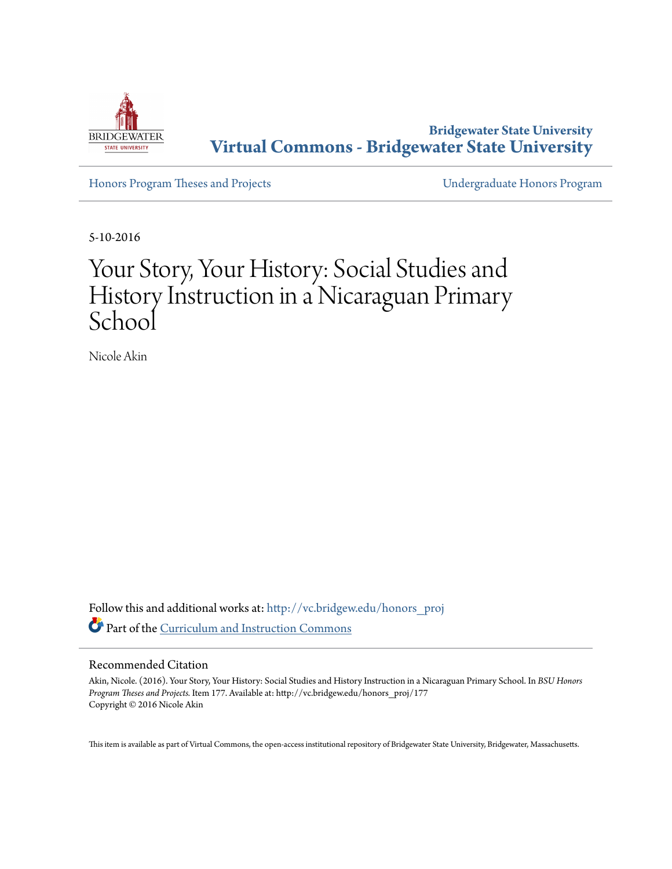

**Bridgewater State University [Virtual Commons - Bridgewater State University](http://vc.bridgew.edu?utm_source=vc.bridgew.edu%2Fhonors_proj%2F177&utm_medium=PDF&utm_campaign=PDFCoverPages)**

[Honors Program Theses and Projects](http://vc.bridgew.edu/honors_proj?utm_source=vc.bridgew.edu%2Fhonors_proj%2F177&utm_medium=PDF&utm_campaign=PDFCoverPages) [Undergraduate Honors Program](http://vc.bridgew.edu/honors?utm_source=vc.bridgew.edu%2Fhonors_proj%2F177&utm_medium=PDF&utm_campaign=PDFCoverPages)

5-10-2016

# Your Story, Your History: Social Studies and History Instruction in a Nicaraguan Primary School

Nicole Akin

Follow this and additional works at: [http://vc.bridgew.edu/honors\\_proj](http://vc.bridgew.edu/honors_proj?utm_source=vc.bridgew.edu%2Fhonors_proj%2F177&utm_medium=PDF&utm_campaign=PDFCoverPages) Part of the [Curriculum and Instruction Commons](http://network.bepress.com/hgg/discipline/786?utm_source=vc.bridgew.edu%2Fhonors_proj%2F177&utm_medium=PDF&utm_campaign=PDFCoverPages)

## Recommended Citation

Akin, Nicole. (2016). Your Story, Your History: Social Studies and History Instruction in a Nicaraguan Primary School. In *BSU Honors Program Theses and Projects.* Item 177. Available at: http://vc.bridgew.edu/honors\_proj/177 Copyright © 2016 Nicole Akin

This item is available as part of Virtual Commons, the open-access institutional repository of Bridgewater State University, Bridgewater, Massachusetts.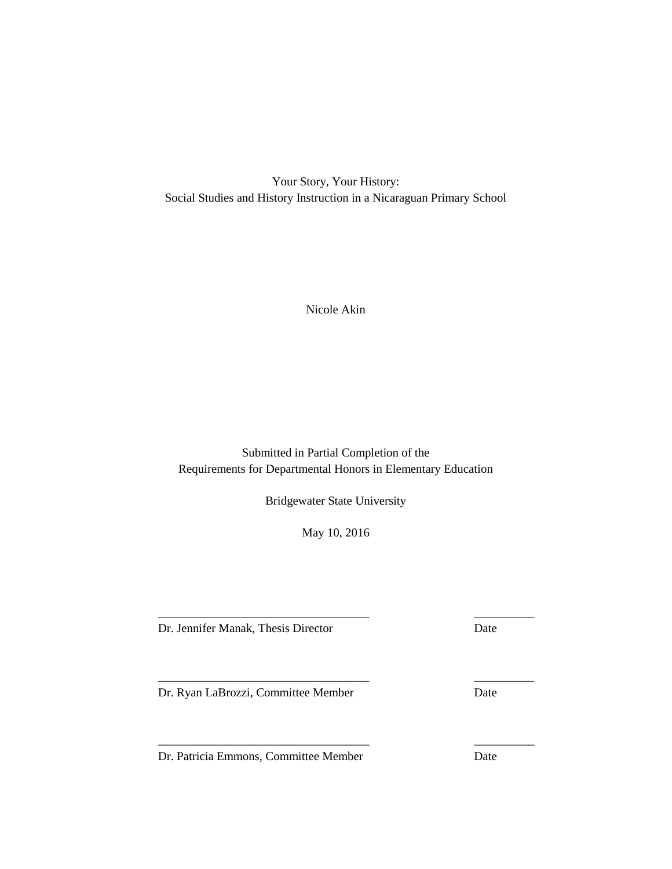Your Story, Your History: Social Studies and History Instruction in a Nicaraguan Primary School

Nicole Akin

Submitted in Partial Completion of the Requirements for Departmental Honors in Elementary Education

Bridgewater State University

May 10, 2016

\_\_\_\_\_\_\_\_\_\_\_\_\_\_\_\_\_\_\_\_\_\_\_\_\_\_\_\_\_\_\_\_\_\_\_ \_\_\_\_\_\_\_\_\_\_

\_\_\_\_\_\_\_\_\_\_\_\_\_\_\_\_\_\_\_\_\_\_\_\_\_\_\_\_\_\_\_\_\_\_\_ \_\_\_\_\_\_\_\_\_\_

\_\_\_\_\_\_\_\_\_\_\_\_\_\_\_\_\_\_\_\_\_\_\_\_\_\_\_\_\_\_\_\_\_\_\_ \_\_\_\_\_\_\_\_\_\_

Dr. Jennifer Manak, Thesis Director Date

Dr. Ryan LaBrozzi, Committee Member Date

Dr. Patricia Emmons, Committee Member Date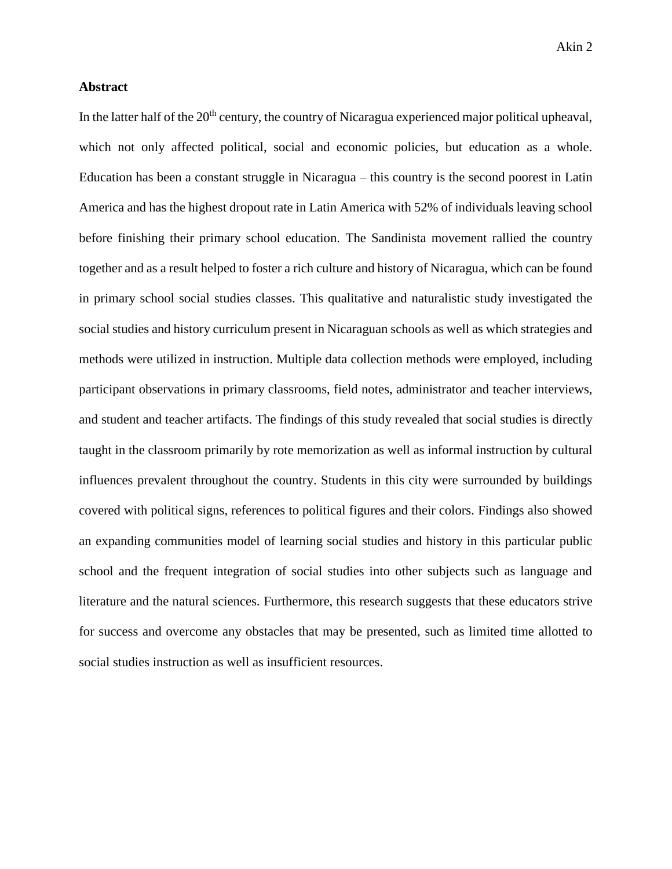# **Abstract**

In the latter half of the 20<sup>th</sup> century, the country of Nicaragua experienced major political upheaval, which not only affected political, social and economic policies, but education as a whole. Education has been a constant struggle in Nicaragua – this country is the second poorest in Latin America and has the highest dropout rate in Latin America with 52% of individuals leaving school before finishing their primary school education. The Sandinista movement rallied the country together and as a result helped to foster a rich culture and history of Nicaragua, which can be found in primary school social studies classes. This qualitative and naturalistic study investigated the social studies and history curriculum present in Nicaraguan schools as well as which strategies and methods were utilized in instruction. Multiple data collection methods were employed, including participant observations in primary classrooms, field notes, administrator and teacher interviews, and student and teacher artifacts. The findings of this study revealed that social studies is directly taught in the classroom primarily by rote memorization as well as informal instruction by cultural influences prevalent throughout the country. Students in this city were surrounded by buildings covered with political signs, references to political figures and their colors. Findings also showed an expanding communities model of learning social studies and history in this particular public school and the frequent integration of social studies into other subjects such as language and literature and the natural sciences. Furthermore, this research suggests that these educators strive for success and overcome any obstacles that may be presented, such as limited time allotted to social studies instruction as well as insufficient resources.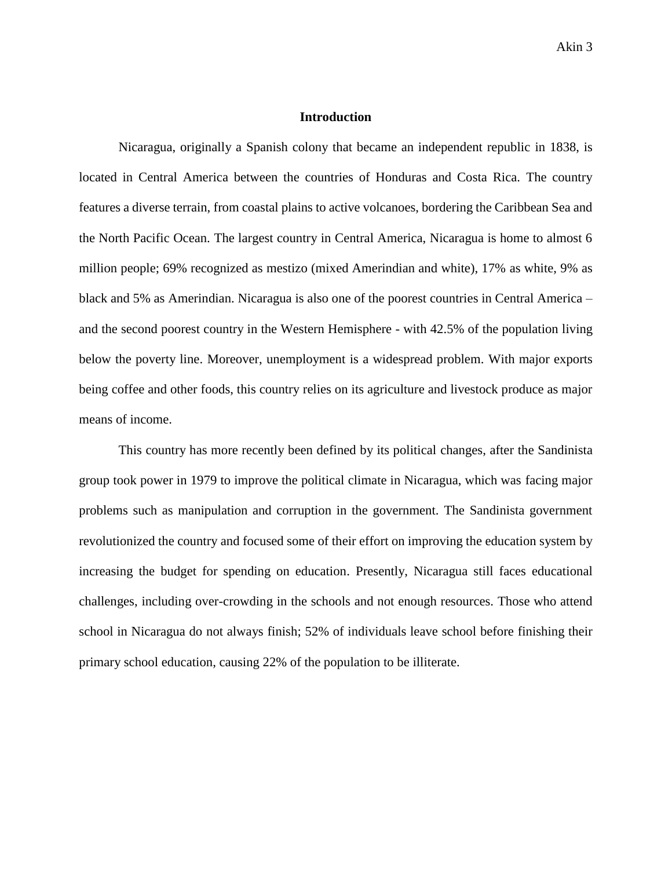# **Introduction**

Nicaragua, originally a Spanish colony that became an independent republic in 1838, is located in Central America between the countries of Honduras and Costa Rica. The country features a diverse terrain, from coastal plains to active volcanoes, bordering the Caribbean Sea and the North Pacific Ocean. The largest country in Central America, Nicaragua is home to almost 6 million people; 69% recognized as mestizo (mixed Amerindian and white), 17% as white, 9% as black and 5% as Amerindian. Nicaragua is also one of the poorest countries in Central America – and the second poorest country in the Western Hemisphere - with 42.5% of the population living below the poverty line. Moreover, unemployment is a widespread problem. With major exports being coffee and other foods, this country relies on its agriculture and livestock produce as major means of income.

This country has more recently been defined by its political changes, after the Sandinista group took power in 1979 to improve the political climate in Nicaragua, which was facing major problems such as manipulation and corruption in the government. The Sandinista government revolutionized the country and focused some of their effort on improving the education system by increasing the budget for spending on education. Presently, Nicaragua still faces educational challenges, including over-crowding in the schools and not enough resources. Those who attend school in Nicaragua do not always finish; 52% of individuals leave school before finishing their primary school education, causing 22% of the population to be illiterate.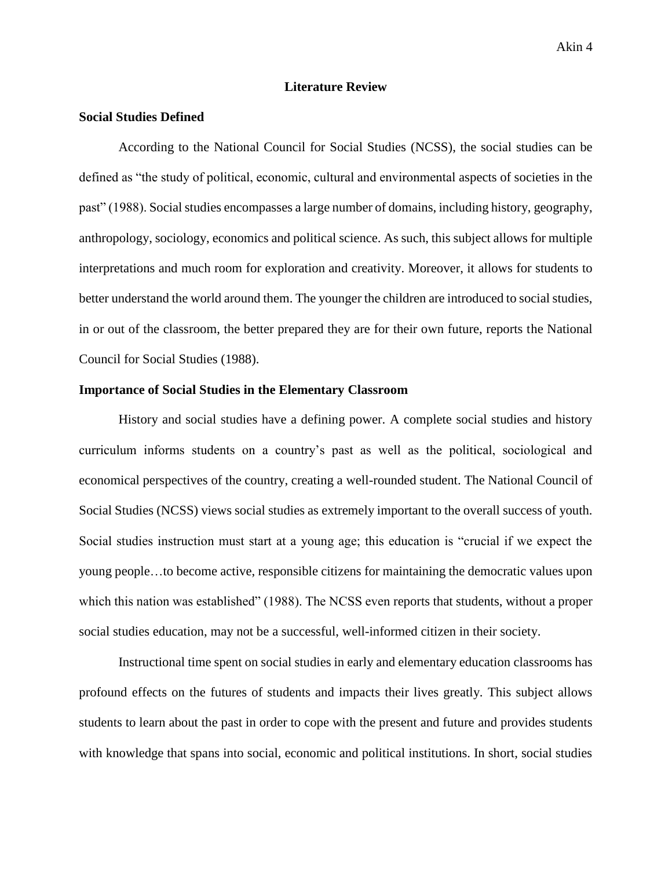## **Literature Review**

## **Social Studies Defined**

According to the National Council for Social Studies (NCSS), the social studies can be defined as "the study of political, economic, cultural and environmental aspects of societies in the past" (1988). Social studies encompasses a large number of domains, including history, geography, anthropology, sociology, economics and political science. As such, this subject allows for multiple interpretations and much room for exploration and creativity. Moreover, it allows for students to better understand the world around them. The younger the children are introduced to social studies, in or out of the classroom, the better prepared they are for their own future, reports the National Council for Social Studies (1988).

## **Importance of Social Studies in the Elementary Classroom**

History and social studies have a defining power. A complete social studies and history curriculum informs students on a country's past as well as the political, sociological and economical perspectives of the country, creating a well-rounded student. The National Council of Social Studies (NCSS) views social studies as extremely important to the overall success of youth. Social studies instruction must start at a young age; this education is "crucial if we expect the young people…to become active, responsible citizens for maintaining the democratic values upon which this nation was established" (1988). The NCSS even reports that students, without a proper social studies education, may not be a successful, well-informed citizen in their society.

Instructional time spent on social studies in early and elementary education classrooms has profound effects on the futures of students and impacts their lives greatly. This subject allows students to learn about the past in order to cope with the present and future and provides students with knowledge that spans into social, economic and political institutions. In short, social studies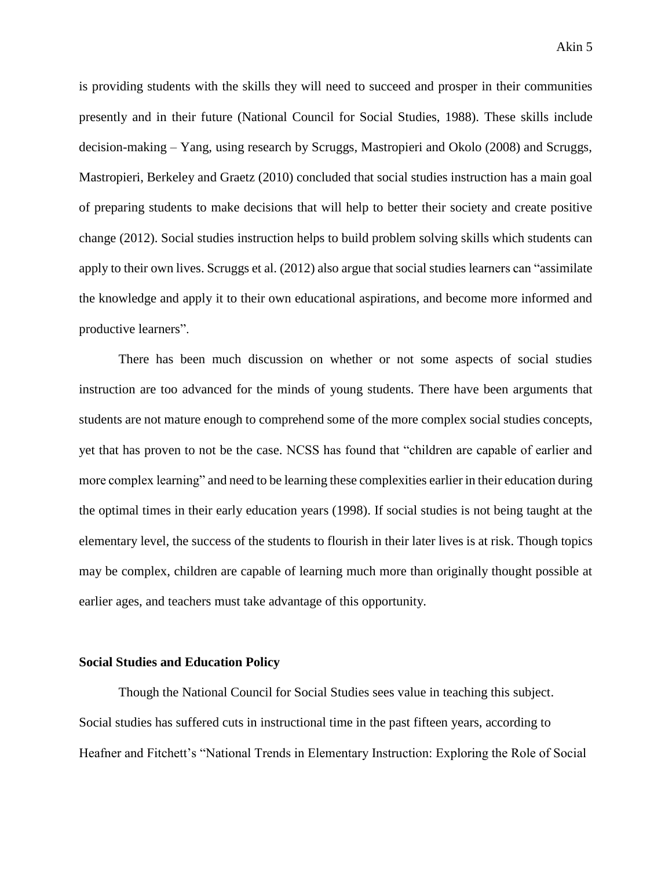is providing students with the skills they will need to succeed and prosper in their communities presently and in their future (National Council for Social Studies, 1988). These skills include decision-making – Yang, using research by Scruggs, Mastropieri and Okolo (2008) and Scruggs, Mastropieri, Berkeley and Graetz (2010) concluded that social studies instruction has a main goal of preparing students to make decisions that will help to better their society and create positive change (2012). Social studies instruction helps to build problem solving skills which students can apply to their own lives. Scruggs et al. (2012) also argue that social studies learners can "assimilate the knowledge and apply it to their own educational aspirations, and become more informed and productive learners".

There has been much discussion on whether or not some aspects of social studies instruction are too advanced for the minds of young students. There have been arguments that students are not mature enough to comprehend some of the more complex social studies concepts, yet that has proven to not be the case. NCSS has found that "children are capable of earlier and more complex learning" and need to be learning these complexities earlier in their education during the optimal times in their early education years (1998). If social studies is not being taught at the elementary level, the success of the students to flourish in their later lives is at risk. Though topics may be complex, children are capable of learning much more than originally thought possible at earlier ages, and teachers must take advantage of this opportunity.

#### **Social Studies and Education Policy**

Though the National Council for Social Studies sees value in teaching this subject. Social studies has suffered cuts in instructional time in the past fifteen years, according to Heafner and Fitchett's "National Trends in Elementary Instruction: Exploring the Role of Social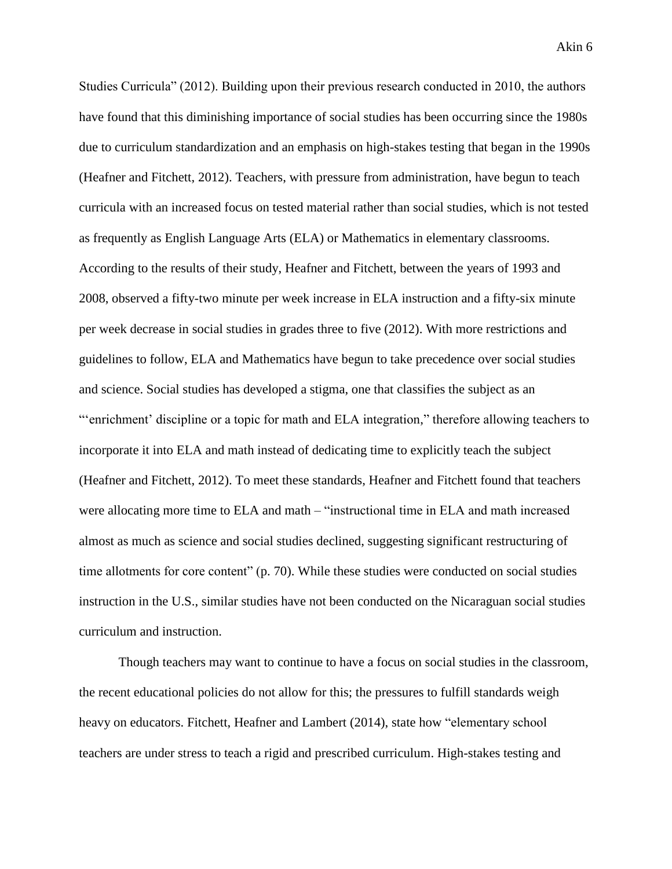Studies Curricula" (2012). Building upon their previous research conducted in 2010, the authors have found that this diminishing importance of social studies has been occurring since the 1980s due to curriculum standardization and an emphasis on high-stakes testing that began in the 1990s (Heafner and Fitchett, 2012). Teachers, with pressure from administration, have begun to teach curricula with an increased focus on tested material rather than social studies, which is not tested as frequently as English Language Arts (ELA) or Mathematics in elementary classrooms. According to the results of their study, Heafner and Fitchett, between the years of 1993 and 2008, observed a fifty-two minute per week increase in ELA instruction and a fifty-six minute per week decrease in social studies in grades three to five (2012). With more restrictions and guidelines to follow, ELA and Mathematics have begun to take precedence over social studies and science. Social studies has developed a stigma, one that classifies the subject as an "'enrichment' discipline or a topic for math and ELA integration," therefore allowing teachers to incorporate it into ELA and math instead of dedicating time to explicitly teach the subject (Heafner and Fitchett, 2012). To meet these standards, Heafner and Fitchett found that teachers were allocating more time to ELA and math – "instructional time in ELA and math increased almost as much as science and social studies declined, suggesting significant restructuring of time allotments for core content" (p. 70). While these studies were conducted on social studies instruction in the U.S., similar studies have not been conducted on the Nicaraguan social studies curriculum and instruction.

Though teachers may want to continue to have a focus on social studies in the classroom, the recent educational policies do not allow for this; the pressures to fulfill standards weigh heavy on educators. Fitchett, Heafner and Lambert (2014), state how "elementary school teachers are under stress to teach a rigid and prescribed curriculum. High-stakes testing and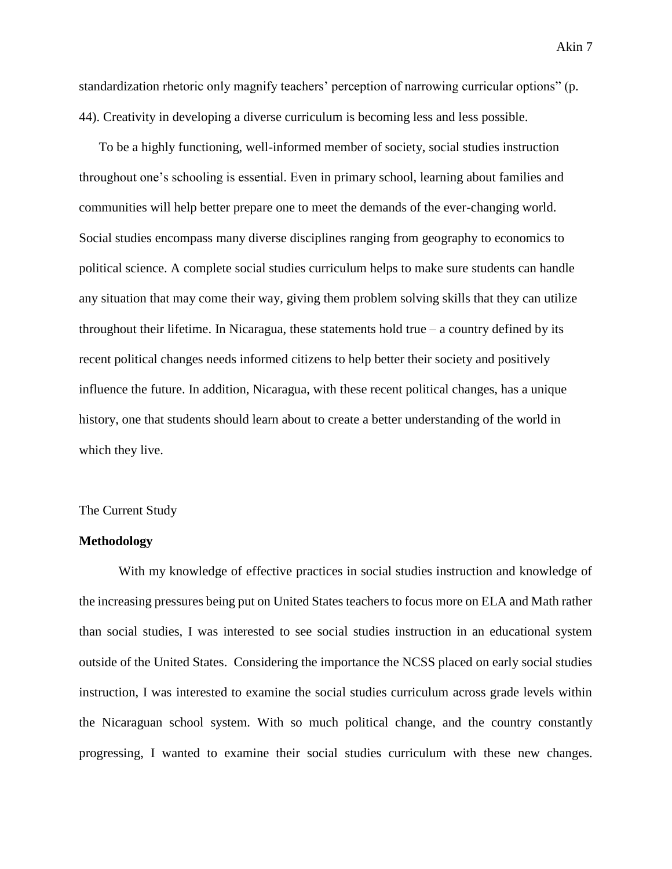standardization rhetoric only magnify teachers' perception of narrowing curricular options" (p. 44). Creativity in developing a diverse curriculum is becoming less and less possible.

To be a highly functioning, well-informed member of society, social studies instruction throughout one's schooling is essential. Even in primary school, learning about families and communities will help better prepare one to meet the demands of the ever-changing world. Social studies encompass many diverse disciplines ranging from geography to economics to political science. A complete social studies curriculum helps to make sure students can handle any situation that may come their way, giving them problem solving skills that they can utilize throughout their lifetime. In Nicaragua, these statements hold true  $-$  a country defined by its recent political changes needs informed citizens to help better their society and positively influence the future. In addition, Nicaragua, with these recent political changes, has a unique history, one that students should learn about to create a better understanding of the world in which they live.

#### The Current Study

## **Methodology**

With my knowledge of effective practices in social studies instruction and knowledge of the increasing pressures being put on United States teachers to focus more on ELA and Math rather than social studies, I was interested to see social studies instruction in an educational system outside of the United States. Considering the importance the NCSS placed on early social studies instruction, I was interested to examine the social studies curriculum across grade levels within the Nicaraguan school system. With so much political change, and the country constantly progressing, I wanted to examine their social studies curriculum with these new changes.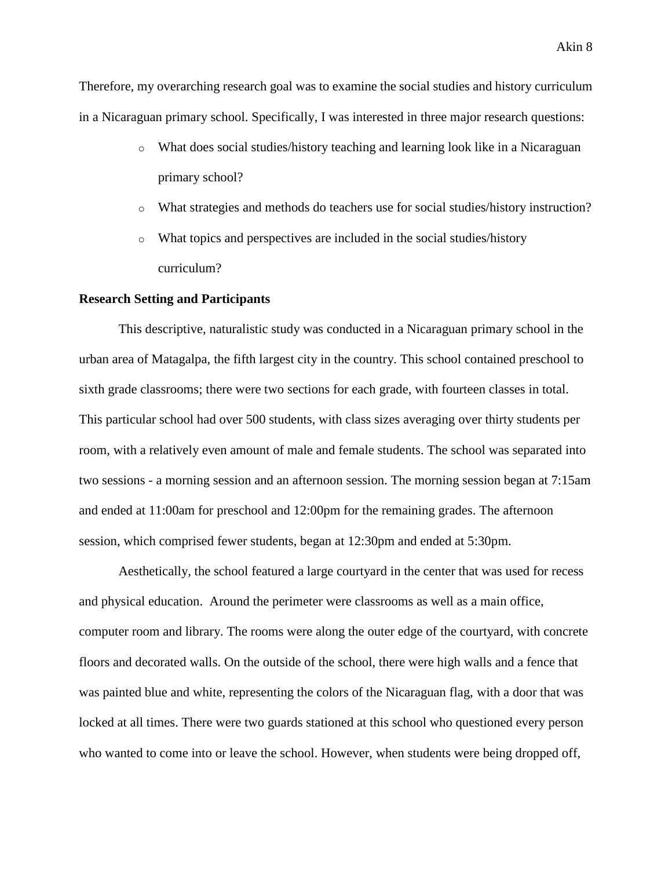Therefore, my overarching research goal was to examine the social studies and history curriculum in a Nicaraguan primary school. Specifically, I was interested in three major research questions:

- $\circ$  What does social studies/history teaching and learning look like in a Nicaraguan primary school?
- o What strategies and methods do teachers use for social studies/history instruction?
- o What topics and perspectives are included in the social studies/history curriculum?

## **Research Setting and Participants**

This descriptive, naturalistic study was conducted in a Nicaraguan primary school in the urban area of Matagalpa, the fifth largest city in the country. This school contained preschool to sixth grade classrooms; there were two sections for each grade, with fourteen classes in total. This particular school had over 500 students, with class sizes averaging over thirty students per room, with a relatively even amount of male and female students. The school was separated into two sessions - a morning session and an afternoon session. The morning session began at 7:15am and ended at 11:00am for preschool and 12:00pm for the remaining grades. The afternoon session, which comprised fewer students, began at 12:30pm and ended at 5:30pm.

Aesthetically, the school featured a large courtyard in the center that was used for recess and physical education. Around the perimeter were classrooms as well as a main office, computer room and library. The rooms were along the outer edge of the courtyard, with concrete floors and decorated walls. On the outside of the school, there were high walls and a fence that was painted blue and white, representing the colors of the Nicaraguan flag, with a door that was locked at all times. There were two guards stationed at this school who questioned every person who wanted to come into or leave the school. However, when students were being dropped off,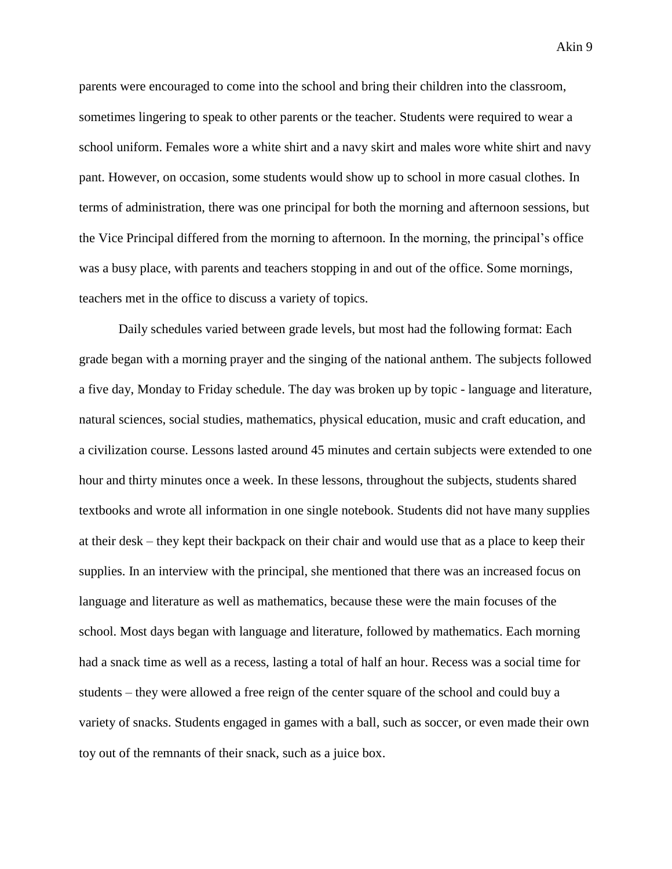parents were encouraged to come into the school and bring their children into the classroom, sometimes lingering to speak to other parents or the teacher. Students were required to wear a school uniform. Females wore a white shirt and a navy skirt and males wore white shirt and navy pant. However, on occasion, some students would show up to school in more casual clothes. In terms of administration, there was one principal for both the morning and afternoon sessions, but the Vice Principal differed from the morning to afternoon. In the morning, the principal's office was a busy place, with parents and teachers stopping in and out of the office. Some mornings, teachers met in the office to discuss a variety of topics.

Daily schedules varied between grade levels, but most had the following format: Each grade began with a morning prayer and the singing of the national anthem. The subjects followed a five day, Monday to Friday schedule. The day was broken up by topic - language and literature, natural sciences, social studies, mathematics, physical education, music and craft education, and a civilization course. Lessons lasted around 45 minutes and certain subjects were extended to one hour and thirty minutes once a week. In these lessons, throughout the subjects, students shared textbooks and wrote all information in one single notebook. Students did not have many supplies at their desk – they kept their backpack on their chair and would use that as a place to keep their supplies. In an interview with the principal, she mentioned that there was an increased focus on language and literature as well as mathematics, because these were the main focuses of the school. Most days began with language and literature, followed by mathematics. Each morning had a snack time as well as a recess, lasting a total of half an hour. Recess was a social time for students – they were allowed a free reign of the center square of the school and could buy a variety of snacks. Students engaged in games with a ball, such as soccer, or even made their own toy out of the remnants of their snack, such as a juice box.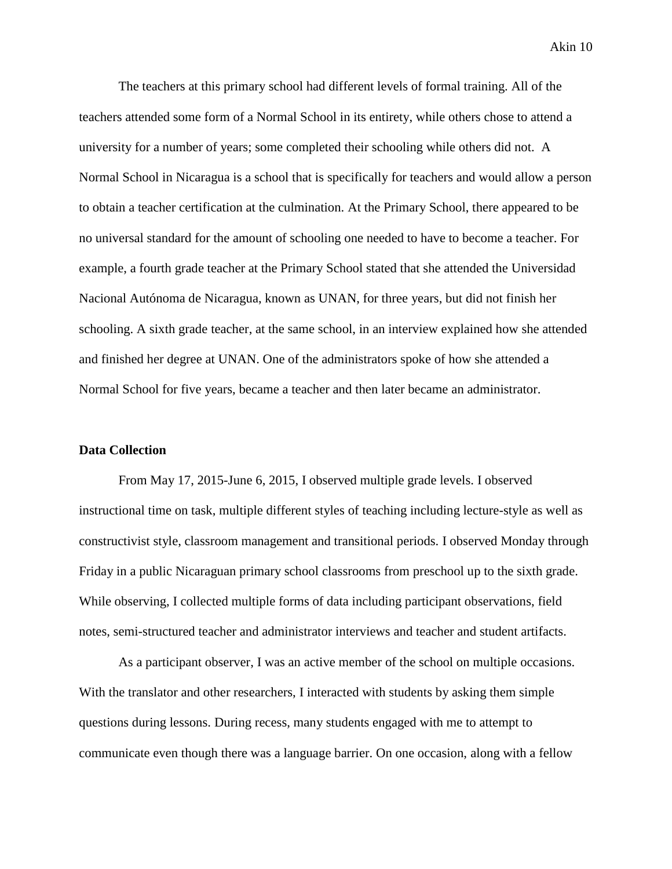The teachers at this primary school had different levels of formal training. All of the teachers attended some form of a Normal School in its entirety, while others chose to attend a university for a number of years; some completed their schooling while others did not. A Normal School in Nicaragua is a school that is specifically for teachers and would allow a person to obtain a teacher certification at the culmination. At the Primary School, there appeared to be no universal standard for the amount of schooling one needed to have to become a teacher. For example, a fourth grade teacher at the Primary School stated that she attended the Universidad Nacional Autónoma de Nicaragua, known as UNAN, for three years, but did not finish her schooling. A sixth grade teacher, at the same school, in an interview explained how she attended and finished her degree at UNAN. One of the administrators spoke of how she attended a Normal School for five years, became a teacher and then later became an administrator.

## **Data Collection**

From May 17, 2015-June 6, 2015, I observed multiple grade levels. I observed instructional time on task, multiple different styles of teaching including lecture-style as well as constructivist style, classroom management and transitional periods. I observed Monday through Friday in a public Nicaraguan primary school classrooms from preschool up to the sixth grade. While observing, I collected multiple forms of data including participant observations, field notes, semi-structured teacher and administrator interviews and teacher and student artifacts.

As a participant observer, I was an active member of the school on multiple occasions. With the translator and other researchers, I interacted with students by asking them simple questions during lessons. During recess, many students engaged with me to attempt to communicate even though there was a language barrier. On one occasion, along with a fellow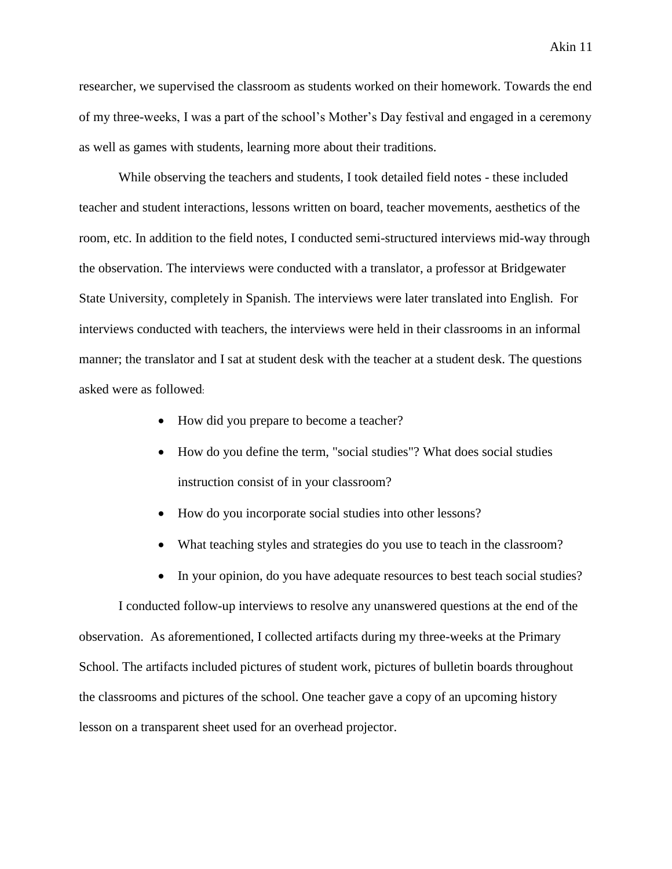researcher, we supervised the classroom as students worked on their homework. Towards the end of my three-weeks, I was a part of the school's Mother's Day festival and engaged in a ceremony as well as games with students, learning more about their traditions.

While observing the teachers and students, I took detailed field notes - these included teacher and student interactions, lessons written on board, teacher movements, aesthetics of the room, etc. In addition to the field notes, I conducted semi-structured interviews mid-way through the observation. The interviews were conducted with a translator, a professor at Bridgewater State University, completely in Spanish. The interviews were later translated into English. For interviews conducted with teachers, the interviews were held in their classrooms in an informal manner; the translator and I sat at student desk with the teacher at a student desk. The questions asked were as followed:

- How did you prepare to become a teacher?
- How do you define the term, "social studies"? What does social studies instruction consist of in your classroom?
- How do you incorporate social studies into other lessons?
- What teaching styles and strategies do you use to teach in the classroom?
- In your opinion, do you have adequate resources to best teach social studies?

I conducted follow-up interviews to resolve any unanswered questions at the end of the observation. As aforementioned, I collected artifacts during my three-weeks at the Primary School. The artifacts included pictures of student work, pictures of bulletin boards throughout the classrooms and pictures of the school. One teacher gave a copy of an upcoming history lesson on a transparent sheet used for an overhead projector.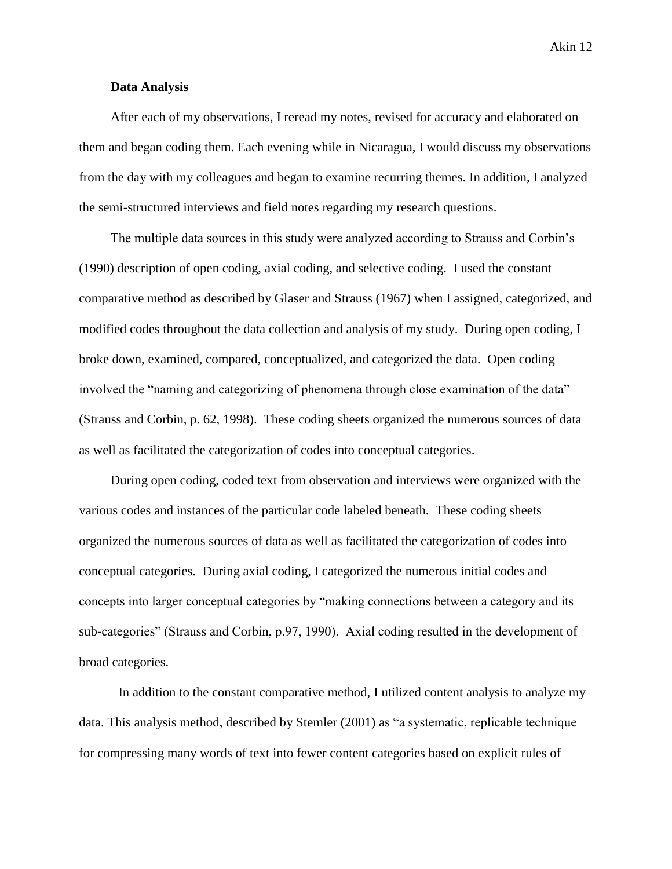Akin 12

# **Data Analysis**

After each of my observations, I reread my notes, revised for accuracy and elaborated on them and began coding them. Each evening while in Nicaragua, I would discuss my observations from the day with my colleagues and began to examine recurring themes. In addition, I analyzed the semi-structured interviews and field notes regarding my research questions.

The multiple data sources in this study were analyzed according to Strauss and Corbin's (1990) description of open coding, axial coding, and selective coding. I used the constant comparative method as described by Glaser and Strauss (1967) when I assigned, categorized, and modified codes throughout the data collection and analysis of my study. During open coding, I broke down, examined, compared, conceptualized, and categorized the data. Open coding involved the "naming and categorizing of phenomena through close examination of the data" (Strauss and Corbin, p. 62, 1998). These coding sheets organized the numerous sources of data as well as facilitated the categorization of codes into conceptual categories.

During open coding, coded text from observation and interviews were organized with the various codes and instances of the particular code labeled beneath. These coding sheets organized the numerous sources of data as well as facilitated the categorization of codes into conceptual categories. During axial coding, I categorized the numerous initial codes and concepts into larger conceptual categories by "making connections between a category and its sub-categories" (Strauss and Corbin, p.97, 1990). Axial coding resulted in the development of broad categories.

In addition to the constant comparative method, I utilized content analysis to analyze my data. This analysis method, described by Stemler (2001) as "a systematic, replicable technique for compressing many words of text into fewer content categories based on explicit rules of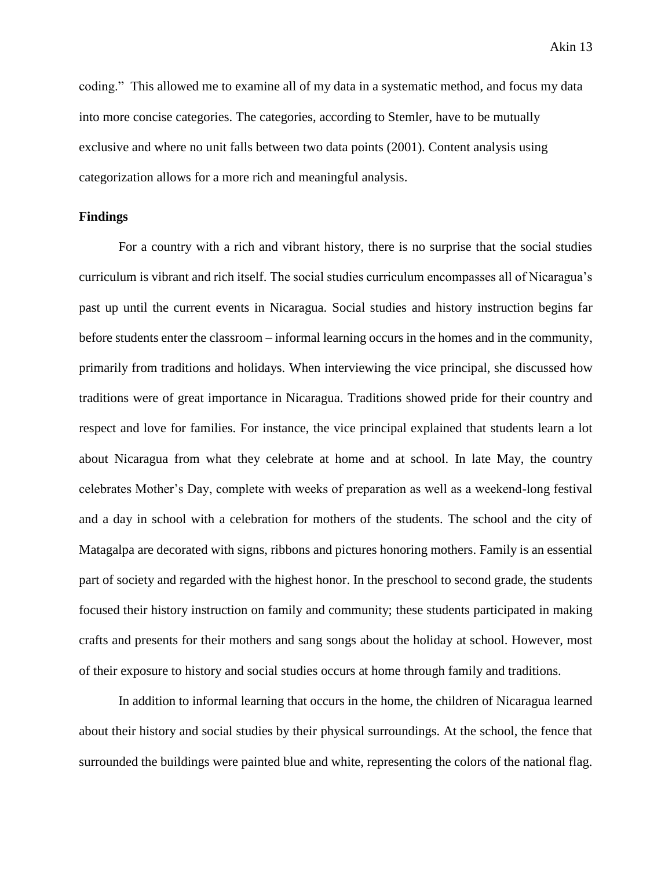Akin 13

coding." This allowed me to examine all of my data in a systematic method, and focus my data into more concise categories. The categories, according to Stemler, have to be mutually exclusive and where no unit falls between two data points (2001). Content analysis using categorization allows for a more rich and meaningful analysis.

# **Findings**

For a country with a rich and vibrant history, there is no surprise that the social studies curriculum is vibrant and rich itself. The social studies curriculum encompasses all of Nicaragua's past up until the current events in Nicaragua. Social studies and history instruction begins far before students enter the classroom – informal learning occurs in the homes and in the community, primarily from traditions and holidays. When interviewing the vice principal, she discussed how traditions were of great importance in Nicaragua. Traditions showed pride for their country and respect and love for families. For instance, the vice principal explained that students learn a lot about Nicaragua from what they celebrate at home and at school. In late May, the country celebrates Mother's Day, complete with weeks of preparation as well as a weekend-long festival and a day in school with a celebration for mothers of the students. The school and the city of Matagalpa are decorated with signs, ribbons and pictures honoring mothers. Family is an essential part of society and regarded with the highest honor. In the preschool to second grade, the students focused their history instruction on family and community; these students participated in making crafts and presents for their mothers and sang songs about the holiday at school. However, most of their exposure to history and social studies occurs at home through family and traditions.

 In addition to informal learning that occurs in the home, the children of Nicaragua learned about their history and social studies by their physical surroundings. At the school, the fence that surrounded the buildings were painted blue and white, representing the colors of the national flag.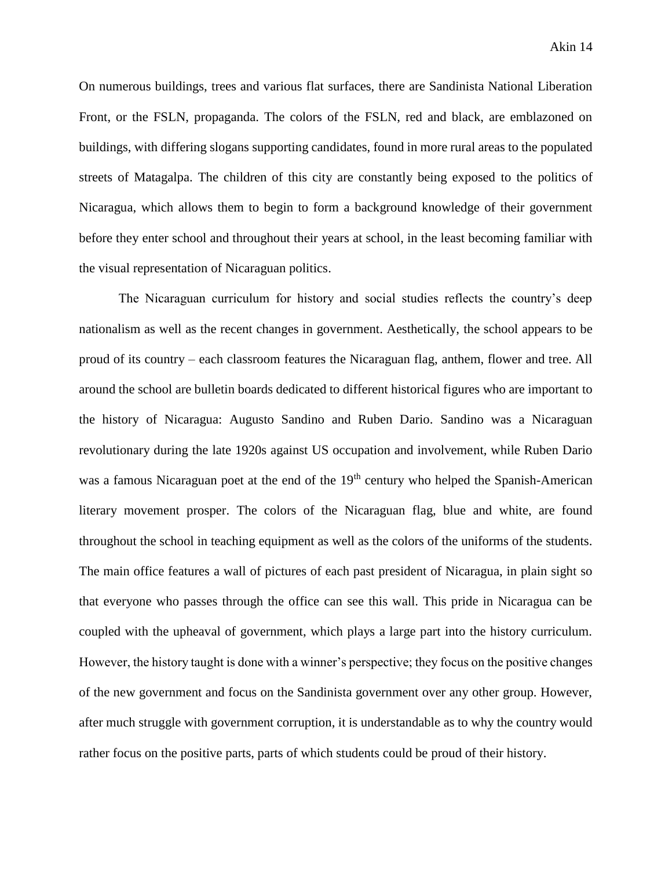On numerous buildings, trees and various flat surfaces, there are Sandinista National Liberation Front, or the FSLN, propaganda. The colors of the FSLN, red and black, are emblazoned on buildings, with differing slogans supporting candidates, found in more rural areas to the populated streets of Matagalpa. The children of this city are constantly being exposed to the politics of Nicaragua, which allows them to begin to form a background knowledge of their government before they enter school and throughout their years at school, in the least becoming familiar with the visual representation of Nicaraguan politics.

The Nicaraguan curriculum for history and social studies reflects the country's deep nationalism as well as the recent changes in government. Aesthetically, the school appears to be proud of its country – each classroom features the Nicaraguan flag, anthem, flower and tree. All around the school are bulletin boards dedicated to different historical figures who are important to the history of Nicaragua: Augusto Sandino and Ruben Dario. Sandino was a Nicaraguan revolutionary during the late 1920s against US occupation and involvement, while Ruben Dario was a famous Nicaraguan poet at the end of the 19<sup>th</sup> century who helped the Spanish-American literary movement prosper. The colors of the Nicaraguan flag, blue and white, are found throughout the school in teaching equipment as well as the colors of the uniforms of the students. The main office features a wall of pictures of each past president of Nicaragua, in plain sight so that everyone who passes through the office can see this wall. This pride in Nicaragua can be coupled with the upheaval of government, which plays a large part into the history curriculum. However, the history taught is done with a winner's perspective; they focus on the positive changes of the new government and focus on the Sandinista government over any other group. However, after much struggle with government corruption, it is understandable as to why the country would rather focus on the positive parts, parts of which students could be proud of their history.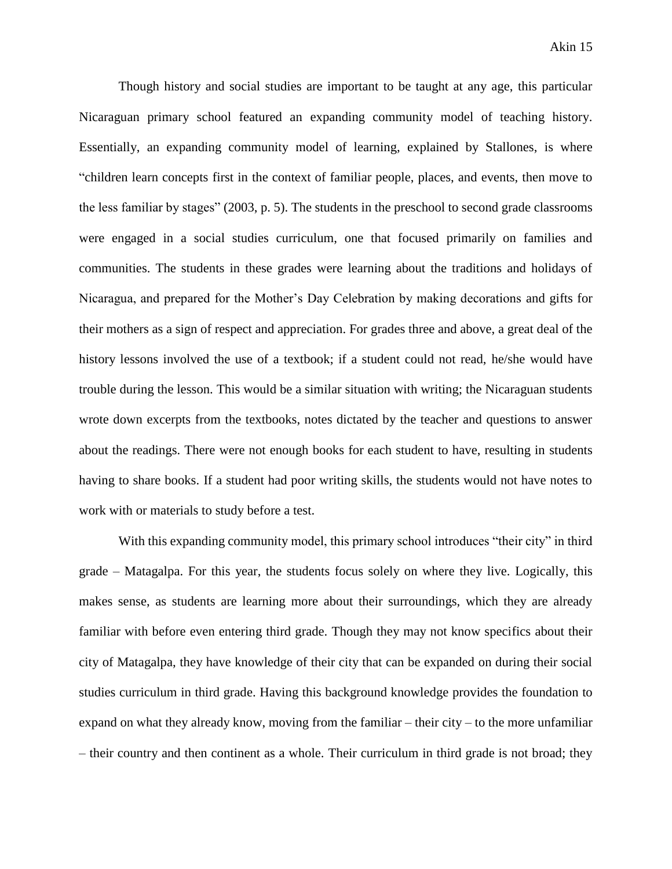Though history and social studies are important to be taught at any age, this particular Nicaraguan primary school featured an expanding community model of teaching history. Essentially, an expanding community model of learning, explained by Stallones, is where "children learn concepts first in the context of familiar people, places, and events, then move to the less familiar by stages" (2003, p. 5). The students in the preschool to second grade classrooms were engaged in a social studies curriculum, one that focused primarily on families and communities. The students in these grades were learning about the traditions and holidays of Nicaragua, and prepared for the Mother's Day Celebration by making decorations and gifts for their mothers as a sign of respect and appreciation. For grades three and above, a great deal of the history lessons involved the use of a textbook; if a student could not read, he/she would have trouble during the lesson. This would be a similar situation with writing; the Nicaraguan students wrote down excerpts from the textbooks, notes dictated by the teacher and questions to answer about the readings. There were not enough books for each student to have, resulting in students having to share books. If a student had poor writing skills, the students would not have notes to work with or materials to study before a test.

With this expanding community model, this primary school introduces "their city" in third grade – Matagalpa. For this year, the students focus solely on where they live. Logically, this makes sense, as students are learning more about their surroundings, which they are already familiar with before even entering third grade. Though they may not know specifics about their city of Matagalpa, they have knowledge of their city that can be expanded on during their social studies curriculum in third grade. Having this background knowledge provides the foundation to expand on what they already know, moving from the familiar – their city – to the more unfamiliar – their country and then continent as a whole. Their curriculum in third grade is not broad; they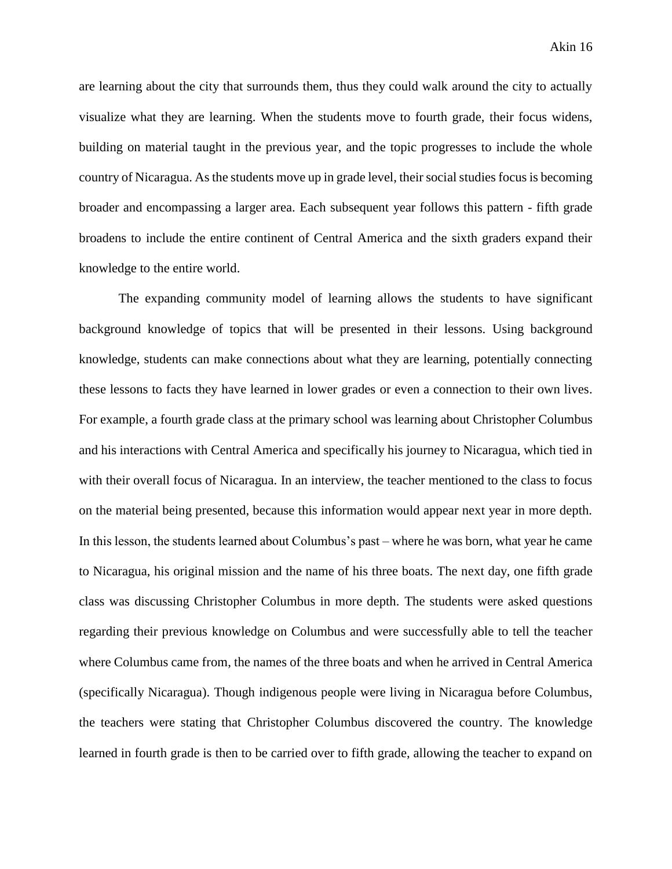are learning about the city that surrounds them, thus they could walk around the city to actually visualize what they are learning. When the students move to fourth grade, their focus widens, building on material taught in the previous year, and the topic progresses to include the whole country of Nicaragua. As the students move up in grade level, their social studies focus is becoming broader and encompassing a larger area. Each subsequent year follows this pattern - fifth grade broadens to include the entire continent of Central America and the sixth graders expand their knowledge to the entire world.

The expanding community model of learning allows the students to have significant background knowledge of topics that will be presented in their lessons. Using background knowledge, students can make connections about what they are learning, potentially connecting these lessons to facts they have learned in lower grades or even a connection to their own lives. For example, a fourth grade class at the primary school was learning about Christopher Columbus and his interactions with Central America and specifically his journey to Nicaragua, which tied in with their overall focus of Nicaragua. In an interview, the teacher mentioned to the class to focus on the material being presented, because this information would appear next year in more depth. In this lesson, the students learned about Columbus's past – where he was born, what year he came to Nicaragua, his original mission and the name of his three boats. The next day, one fifth grade class was discussing Christopher Columbus in more depth. The students were asked questions regarding their previous knowledge on Columbus and were successfully able to tell the teacher where Columbus came from, the names of the three boats and when he arrived in Central America (specifically Nicaragua). Though indigenous people were living in Nicaragua before Columbus, the teachers were stating that Christopher Columbus discovered the country. The knowledge learned in fourth grade is then to be carried over to fifth grade, allowing the teacher to expand on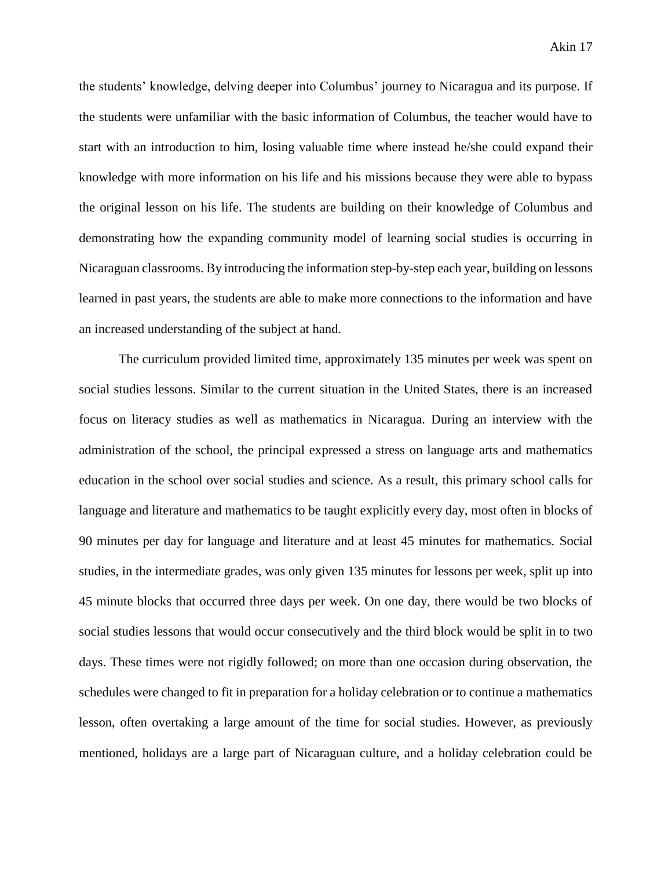the students' knowledge, delving deeper into Columbus' journey to Nicaragua and its purpose. If the students were unfamiliar with the basic information of Columbus, the teacher would have to start with an introduction to him, losing valuable time where instead he/she could expand their knowledge with more information on his life and his missions because they were able to bypass the original lesson on his life. The students are building on their knowledge of Columbus and demonstrating how the expanding community model of learning social studies is occurring in Nicaraguan classrooms. By introducing the information step-by-step each year, building on lessons learned in past years, the students are able to make more connections to the information and have an increased understanding of the subject at hand.

The curriculum provided limited time, approximately 135 minutes per week was spent on social studies lessons. Similar to the current situation in the United States, there is an increased focus on literacy studies as well as mathematics in Nicaragua. During an interview with the administration of the school, the principal expressed a stress on language arts and mathematics education in the school over social studies and science. As a result, this primary school calls for language and literature and mathematics to be taught explicitly every day, most often in blocks of 90 minutes per day for language and literature and at least 45 minutes for mathematics. Social studies, in the intermediate grades, was only given 135 minutes for lessons per week, split up into 45 minute blocks that occurred three days per week. On one day, there would be two blocks of social studies lessons that would occur consecutively and the third block would be split in to two days. These times were not rigidly followed; on more than one occasion during observation, the schedules were changed to fit in preparation for a holiday celebration or to continue a mathematics lesson, often overtaking a large amount of the time for social studies. However, as previously mentioned, holidays are a large part of Nicaraguan culture, and a holiday celebration could be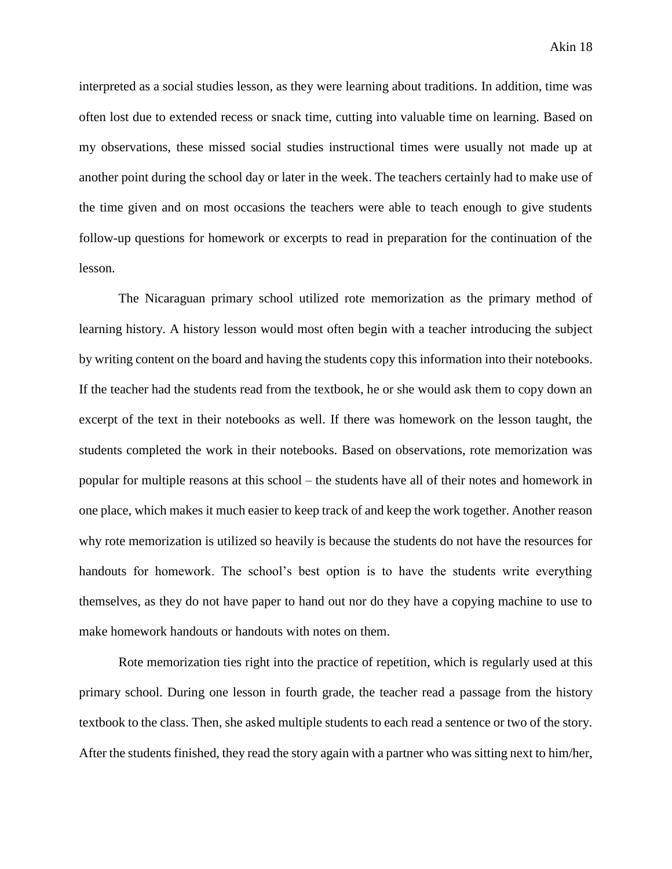interpreted as a social studies lesson, as they were learning about traditions. In addition, time was often lost due to extended recess or snack time, cutting into valuable time on learning. Based on my observations, these missed social studies instructional times were usually not made up at another point during the school day or later in the week. The teachers certainly had to make use of the time given and on most occasions the teachers were able to teach enough to give students follow-up questions for homework or excerpts to read in preparation for the continuation of the lesson.

The Nicaraguan primary school utilized rote memorization as the primary method of learning history. A history lesson would most often begin with a teacher introducing the subject by writing content on the board and having the students copy this information into their notebooks. If the teacher had the students read from the textbook, he or she would ask them to copy down an excerpt of the text in their notebooks as well. If there was homework on the lesson taught, the students completed the work in their notebooks. Based on observations, rote memorization was popular for multiple reasons at this school – the students have all of their notes and homework in one place, which makes it much easier to keep track of and keep the work together. Another reason why rote memorization is utilized so heavily is because the students do not have the resources for handouts for homework. The school's best option is to have the students write everything themselves, as they do not have paper to hand out nor do they have a copying machine to use to make homework handouts or handouts with notes on them.

Rote memorization ties right into the practice of repetition, which is regularly used at this primary school. During one lesson in fourth grade, the teacher read a passage from the history textbook to the class. Then, she asked multiple students to each read a sentence or two of the story. After the students finished, they read the story again with a partner who was sitting next to him/her,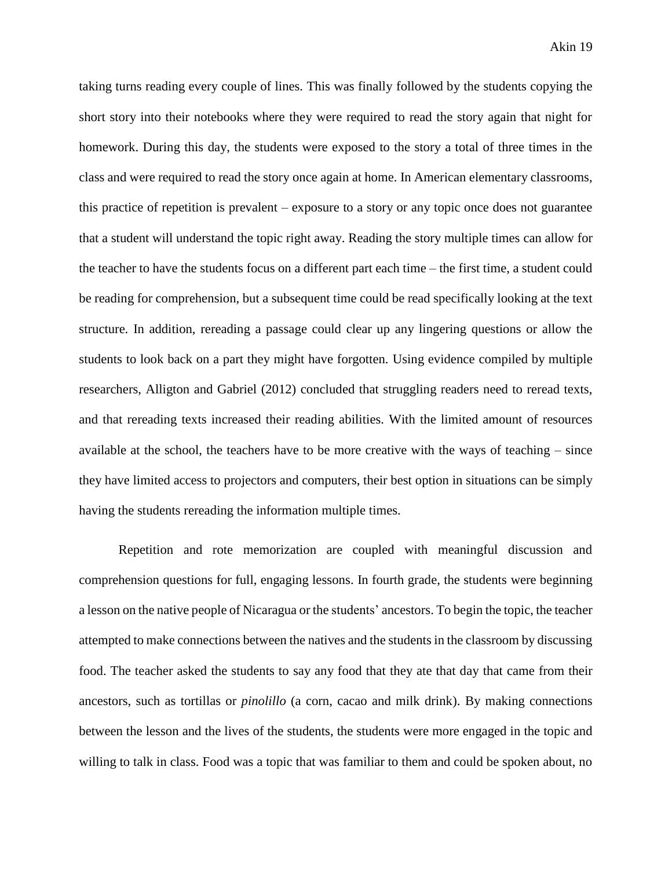taking turns reading every couple of lines. This was finally followed by the students copying the short story into their notebooks where they were required to read the story again that night for homework. During this day, the students were exposed to the story a total of three times in the class and were required to read the story once again at home. In American elementary classrooms, this practice of repetition is prevalent – exposure to a story or any topic once does not guarantee that a student will understand the topic right away. Reading the story multiple times can allow for the teacher to have the students focus on a different part each time – the first time, a student could be reading for comprehension, but a subsequent time could be read specifically looking at the text structure. In addition, rereading a passage could clear up any lingering questions or allow the students to look back on a part they might have forgotten. Using evidence compiled by multiple researchers, Alligton and Gabriel (2012) concluded that struggling readers need to reread texts, and that rereading texts increased their reading abilities. With the limited amount of resources available at the school, the teachers have to be more creative with the ways of teaching – since they have limited access to projectors and computers, their best option in situations can be simply having the students rereading the information multiple times.

Repetition and rote memorization are coupled with meaningful discussion and comprehension questions for full, engaging lessons. In fourth grade, the students were beginning a lesson on the native people of Nicaragua or the students' ancestors. To begin the topic, the teacher attempted to make connections between the natives and the students in the classroom by discussing food. The teacher asked the students to say any food that they ate that day that came from their ancestors, such as tortillas or *pinolillo* (a corn, cacao and milk drink). By making connections between the lesson and the lives of the students, the students were more engaged in the topic and willing to talk in class. Food was a topic that was familiar to them and could be spoken about, no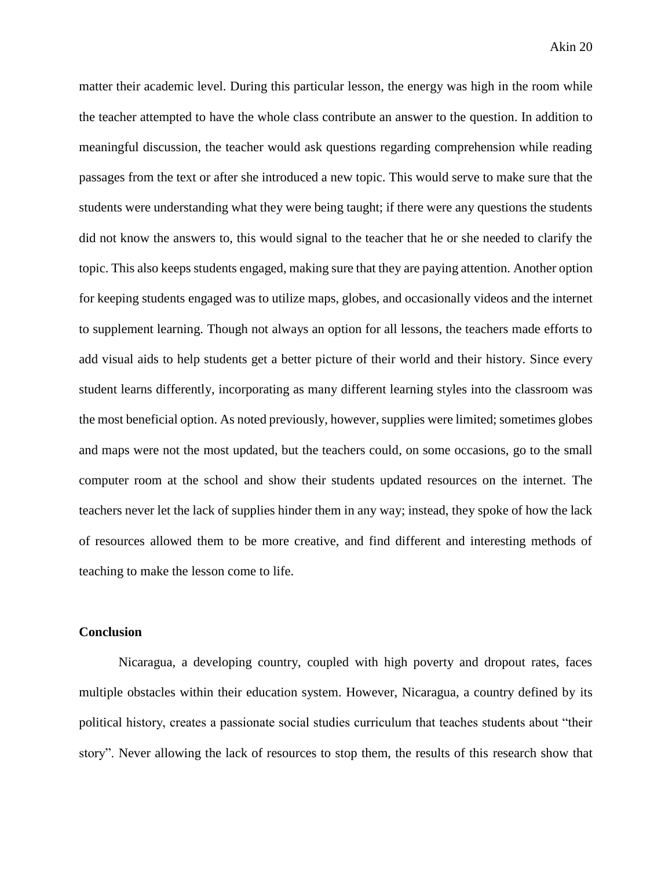matter their academic level. During this particular lesson, the energy was high in the room while the teacher attempted to have the whole class contribute an answer to the question. In addition to meaningful discussion, the teacher would ask questions regarding comprehension while reading passages from the text or after she introduced a new topic. This would serve to make sure that the students were understanding what they were being taught; if there were any questions the students did not know the answers to, this would signal to the teacher that he or she needed to clarify the topic. This also keeps students engaged, making sure that they are paying attention. Another option for keeping students engaged was to utilize maps, globes, and occasionally videos and the internet to supplement learning. Though not always an option for all lessons, the teachers made efforts to add visual aids to help students get a better picture of their world and their history. Since every student learns differently, incorporating as many different learning styles into the classroom was the most beneficial option. As noted previously, however, supplies were limited; sometimes globes and maps were not the most updated, but the teachers could, on some occasions, go to the small computer room at the school and show their students updated resources on the internet. The teachers never let the lack of supplies hinder them in any way; instead, they spoke of how the lack of resources allowed them to be more creative, and find different and interesting methods of teaching to make the lesson come to life.

## **Conclusion**

Nicaragua, a developing country, coupled with high poverty and dropout rates, faces multiple obstacles within their education system. However, Nicaragua, a country defined by its political history, creates a passionate social studies curriculum that teaches students about "their story". Never allowing the lack of resources to stop them, the results of this research show that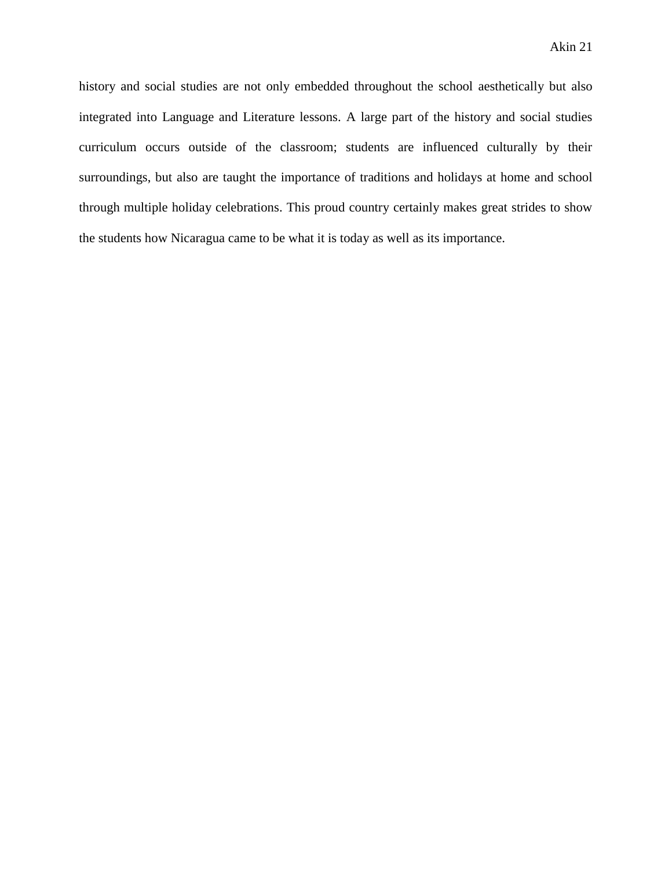history and social studies are not only embedded throughout the school aesthetically but also integrated into Language and Literature lessons. A large part of the history and social studies curriculum occurs outside of the classroom; students are influenced culturally by their surroundings, but also are taught the importance of traditions and holidays at home and school through multiple holiday celebrations. This proud country certainly makes great strides to show the students how Nicaragua came to be what it is today as well as its importance.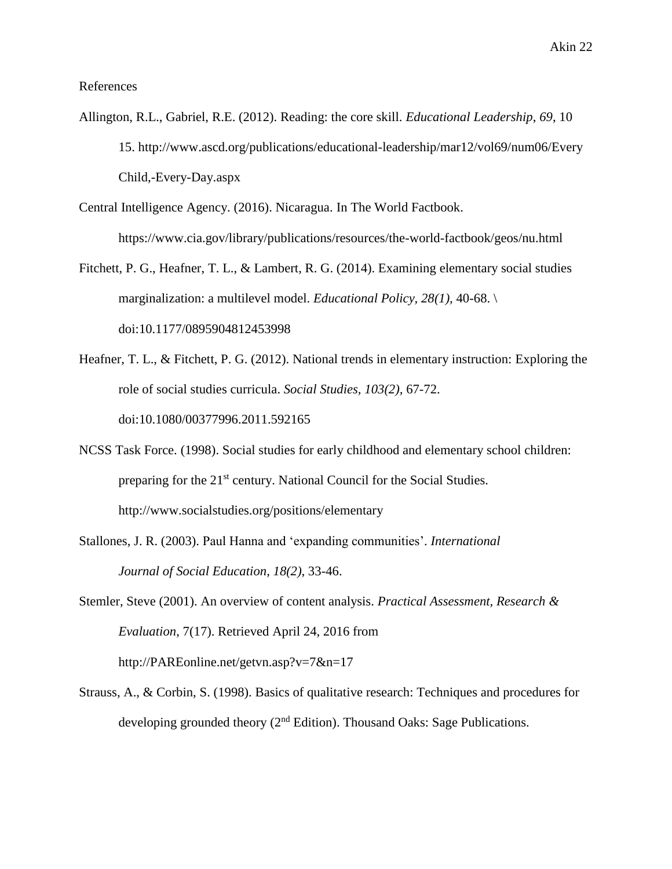References

- Allington, R.L., Gabriel, R.E. (2012). Reading: the core skill. *Educational Leadership*, *69*, 10 15. http://www.ascd.org/publications/educational-leadership/mar12/vol69/num06/Every Child,-Every-Day.aspx
- Central Intelligence Agency. (2016). Nicaragua. In The World Factbook. https://www.cia.gov/library/publications/resources/the-world-factbook/geos/nu.html
- Fitchett, P. G., Heafner, T. L., & Lambert, R. G. (2014). Examining elementary social studies marginalization: a multilevel model. *Educational Policy, 28(1),* 40-68. \ doi:10.1177/0895904812453998
- Heafner, T. L., & Fitchett, P. G. (2012). National trends in elementary instruction: Exploring the role of social studies curricula. *Social Studies, 103(2),* 67-72. doi:10.1080/00377996.2011.592165
- NCSS Task Force. (1998). Social studies for early childhood and elementary school children: preparing for the 21st century. National Council for the Social Studies. http://www.socialstudies.org/positions/elementary
- Stallones, J. R. (2003). Paul Hanna and 'expanding communities'. *International Journal of Social Education*, *18(2)*, 33-46.
- Stemler, Steve (2001). An overview of content analysis. *Practical Assessment, Research & Evaluation*, 7(17). Retrieved April 24, 2016 from http://PAREonline.net/getvn.asp?v=7&n=17
- Strauss, A., & Corbin, S. (1998). Basics of qualitative research: Techniques and procedures for developing grounded theory  $(2<sup>nd</sup> Edition)$ . Thousand Oaks: Sage Publications.